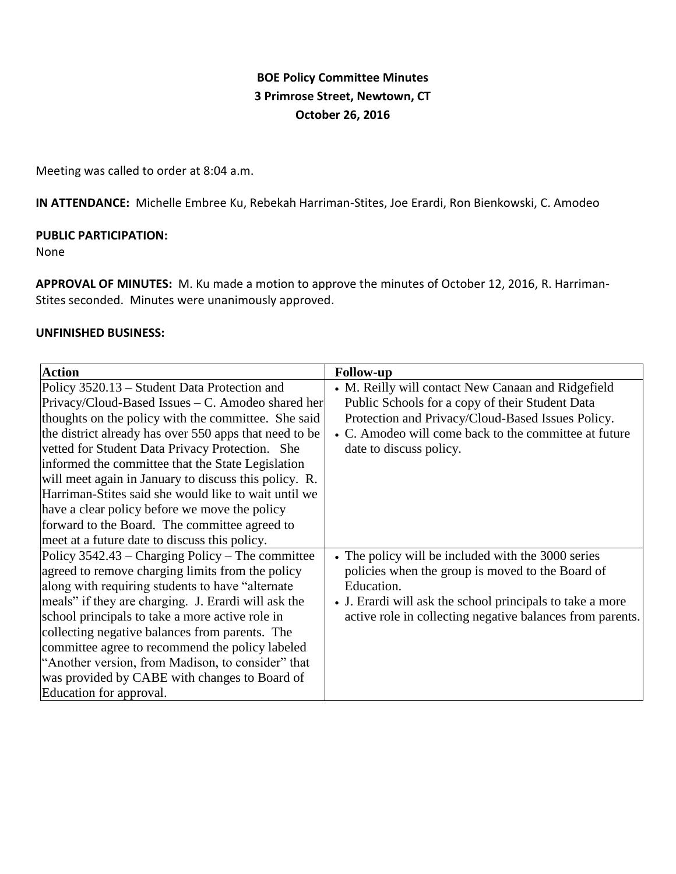# **BOE Policy Committee Minutes 3 Primrose Street, Newtown, CT October 26, 2016**

Meeting was called to order at 8:04 a.m.

**IN ATTENDANCE:** Michelle Embree Ku, Rebekah Harriman-Stites, Joe Erardi, Ron Bienkowski, C. Amodeo

#### **PUBLIC PARTICIPATION:**

#### None

**APPROVAL OF MINUTES:** M. Ku made a motion to approve the minutes of October 12, 2016, R. Harriman-Stites seconded. Minutes were unanimously approved.

#### **UNFINISHED BUSINESS:**

| <b>Action</b>                                          | <b>Follow-up</b>                                          |
|--------------------------------------------------------|-----------------------------------------------------------|
| Policy 3520.13 – Student Data Protection and           | • M. Reilly will contact New Canaan and Ridgefield        |
| Privacy/Cloud-Based Issues – C. Amodeo shared her      | Public Schools for a copy of their Student Data           |
| thoughts on the policy with the committee. She said    | Protection and Privacy/Cloud-Based Issues Policy.         |
| the district already has over 550 apps that need to be | • C. Amodeo will come back to the committee at future     |
| vetted for Student Data Privacy Protection. She        | date to discuss policy.                                   |
| informed the committee that the State Legislation      |                                                           |
| will meet again in January to discuss this policy. R.  |                                                           |
| Harriman-Stites said she would like to wait until we   |                                                           |
| have a clear policy before we move the policy          |                                                           |
| forward to the Board. The committee agreed to          |                                                           |
| meet at a future date to discuss this policy.          |                                                           |
| Policy $3542.43$ – Charging Policy – The committee     | • The policy will be included with the 3000 series        |
| agreed to remove charging limits from the policy       | policies when the group is moved to the Board of          |
| along with requiring students to have "alternate"      | Education.                                                |
| meals" if they are charging. J. Erardi will ask the    | • J. Erardi will ask the school principals to take a more |
| school principals to take a more active role in        | active role in collecting negative balances from parents. |
| collecting negative balances from parents. The         |                                                           |
| committee agree to recommend the policy labeled        |                                                           |
| "Another version, from Madison, to consider" that      |                                                           |
| was provided by CABE with changes to Board of          |                                                           |
| Education for approval.                                |                                                           |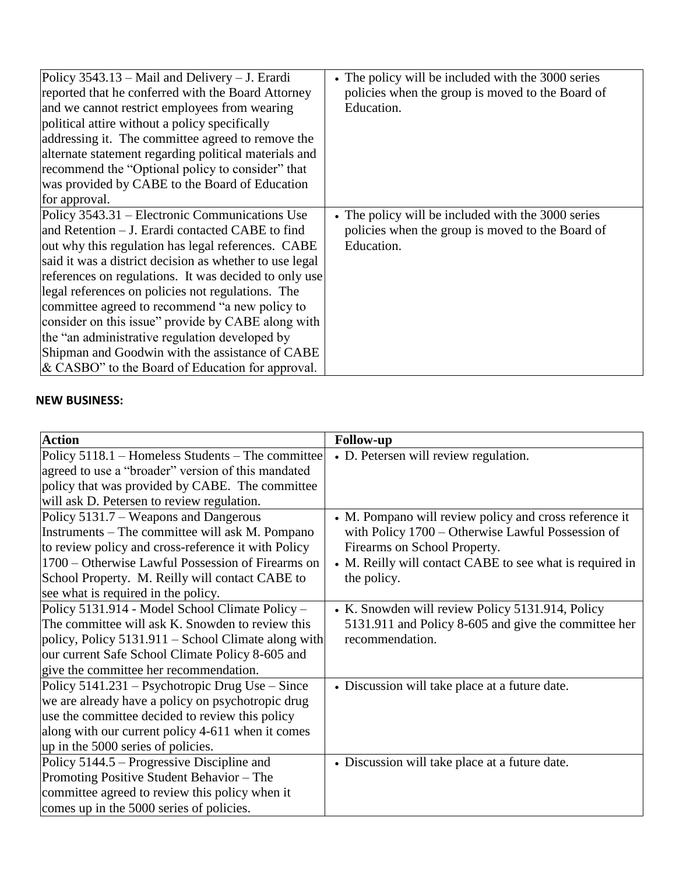| Policy $3543.13$ – Mail and Delivery – J. Erardi<br>reported that he conferred with the Board Attorney<br>and we cannot restrict employees from wearing<br>political attire without a policy specifically<br>addressing it. The committee agreed to remove the<br>alternate statement regarding political materials and<br>recommend the "Optional policy to consider" that<br>was provided by CABE to the Board of Education<br>for approval.                                                                                                                                                        | • The policy will be included with the 3000 series<br>policies when the group is moved to the Board of<br>Education. |
|-------------------------------------------------------------------------------------------------------------------------------------------------------------------------------------------------------------------------------------------------------------------------------------------------------------------------------------------------------------------------------------------------------------------------------------------------------------------------------------------------------------------------------------------------------------------------------------------------------|----------------------------------------------------------------------------------------------------------------------|
| Policy 3543.31 – Electronic Communications Use<br>and Retention – J. Erardi contacted CABE to find<br>out why this regulation has legal references. CABE<br>said it was a district decision as whether to use legal<br>references on regulations. It was decided to only use<br>legal references on policies not regulations. The<br>committee agreed to recommend "a new policy to<br>consider on this issue" provide by CABE along with<br>the "an administrative regulation developed by<br>Shipman and Goodwin with the assistance of CABE<br>$\&$ CASBO" to the Board of Education for approval. | • The policy will be included with the 3000 series<br>policies when the group is moved to the Board of<br>Education. |

## **NEW BUSINESS:**

| <b>Action</b>                                       | <b>Follow-up</b>                                         |
|-----------------------------------------------------|----------------------------------------------------------|
| Policy 5118.1 – Homeless Students – The committee   | • D. Petersen will review regulation.                    |
| agreed to use a "broader" version of this mandated  |                                                          |
| policy that was provided by CABE. The committee     |                                                          |
| will ask D. Petersen to review regulation.          |                                                          |
| Policy 5131.7 – Weapons and Dangerous               | • M. Pompano will review policy and cross reference it   |
| Instruments – The committee will ask M. Pompano     | with Policy 1700 – Otherwise Lawful Possession of        |
| to review policy and cross-reference it with Policy | Firearms on School Property.                             |
| 1700 – Otherwise Lawful Possession of Firearms on   | • M. Reilly will contact CABE to see what is required in |
| School Property. M. Reilly will contact CABE to     | the policy.                                              |
| see what is required in the policy.                 |                                                          |
| Policy 5131.914 - Model School Climate Policy -     | • K. Snowden will review Policy 5131.914, Policy         |
| The committee will ask K. Snowden to review this    | 5131.911 and Policy 8-605 and give the committee her     |
| policy, Policy 5131.911 – School Climate along with | recommendation.                                          |
| our current Safe School Climate Policy 8-605 and    |                                                          |
| give the committee her recommendation.              |                                                          |
| Policy 5141.231 – Psychotropic Drug Use – Since     | • Discussion will take place at a future date.           |
| we are already have a policy on psychotropic drug   |                                                          |
| use the committee decided to review this policy     |                                                          |
| along with our current policy 4-611 when it comes   |                                                          |
| up in the 5000 series of policies.                  |                                                          |
| Policy 5144.5 – Progressive Discipline and          | • Discussion will take place at a future date.           |
| Promoting Positive Student Behavior - The           |                                                          |
| committee agreed to review this policy when it      |                                                          |
| comes up in the 5000 series of policies.            |                                                          |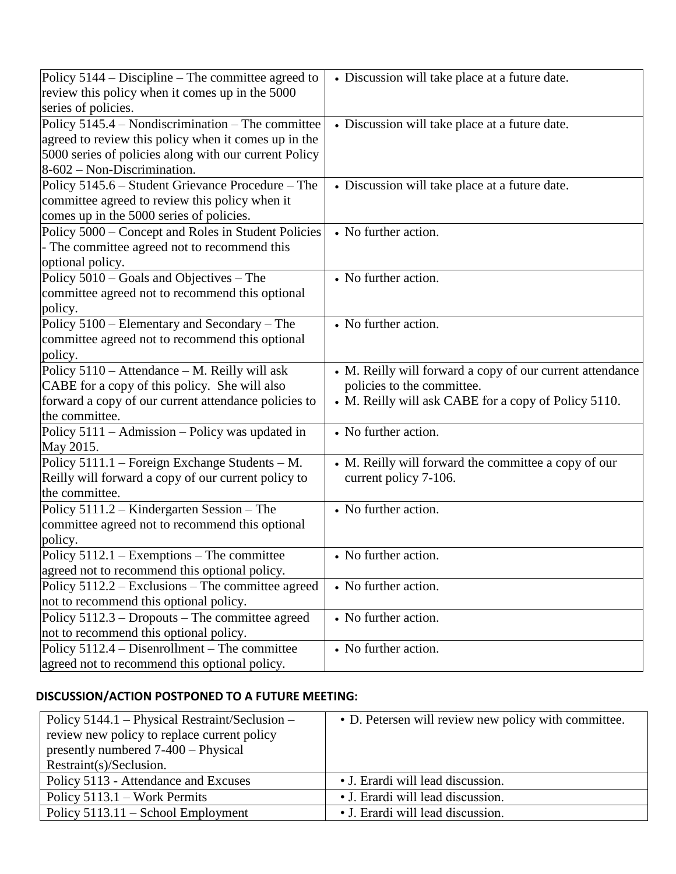| Policy $5144 - Discipline$ – The committee agreed to  | • Discussion will take place at a future date.            |
|-------------------------------------------------------|-----------------------------------------------------------|
| review this policy when it comes up in the 5000       |                                                           |
| series of policies.                                   |                                                           |
| Policy 5145.4 – Nondiscrimination – The committee     | • Discussion will take place at a future date.            |
| agreed to review this policy when it comes up in the  |                                                           |
| 5000 series of policies along with our current Policy |                                                           |
| $8-602$ – Non-Discrimination.                         |                                                           |
| Policy 5145.6 - Student Grievance Procedure - The     | • Discussion will take place at a future date.            |
| committee agreed to review this policy when it        |                                                           |
| comes up in the 5000 series of policies.              |                                                           |
| Policy 5000 - Concept and Roles in Student Policies   | • No further action.                                      |
| - The committee agreed not to recommend this          |                                                           |
| optional policy.                                      |                                                           |
| Policy 5010 – Goals and Objectives – The              | • No further action.                                      |
| committee agreed not to recommend this optional       |                                                           |
| policy.                                               |                                                           |
| Policy 5100 – Elementary and Secondary – The          | • No further action.                                      |
| committee agreed not to recommend this optional       |                                                           |
| policy.                                               |                                                           |
| Policy 5110 - Attendance - M. Reilly will ask         | • M. Reilly will forward a copy of our current attendance |
| CABE for a copy of this policy. She will also         | policies to the committee.                                |
| forward a copy of our current attendance policies to  | • M. Reilly will ask CABE for a copy of Policy 5110.      |
| the committee.                                        |                                                           |
| Policy 5111 – Admission – Policy was updated in       | • No further action.                                      |
| May 2015.                                             |                                                           |
| Policy 5111.1 – Foreign Exchange Students – M.        | • M. Reilly will forward the committee a copy of our      |
| Reilly will forward a copy of our current policy to   | current policy 7-106.                                     |
| the committee.                                        |                                                           |
| Policy 5111.2 – Kindergarten Session – The            | • No further action.                                      |
| committee agreed not to recommend this optional       |                                                           |
| policy.                                               |                                                           |
| Policy $5112.1$ – Exemptions – The committee          | • No further action.                                      |
| agreed not to recommend this optional policy.         |                                                           |
| Policy 5112.2 – Exclusions – The committee agreed     | • No further action.                                      |
| not to recommend this optional policy.                |                                                           |
| Policy 5112.3 – Dropouts – The committee agreed       | • No further action.                                      |
| not to recommend this optional policy.                |                                                           |
| Policy 5112.4 – Disenrollment – The committee         | • No further action.                                      |
| agreed not to recommend this optional policy.         |                                                           |

## **DISCUSSION/ACTION POSTPONED TO A FUTURE MEETING:**

| Policy 5144.1 – Physical Restraint/Seclusion – | • D. Petersen will review new policy with committee. |
|------------------------------------------------|------------------------------------------------------|
| review new policy to replace current policy    |                                                      |
| presently numbered 7-400 – Physical            |                                                      |
| Restraint(s)/Seclusion.                        |                                                      |
| Policy 5113 - Attendance and Excuses           | • J. Erardi will lead discussion.                    |
| Policy $5113.1$ – Work Permits                 | • J. Erardi will lead discussion.                    |
| Policy $5113.11 -$ School Employment           | • J. Erardi will lead discussion.                    |